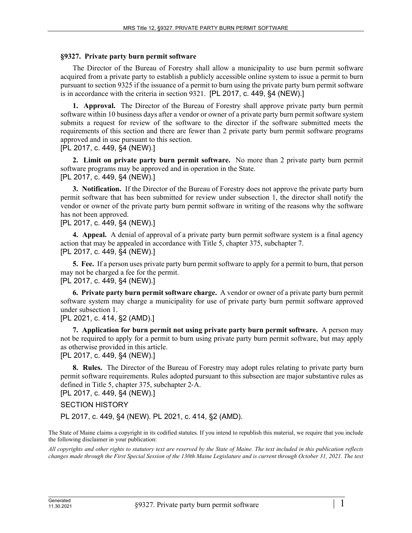## **§9327. Private party burn permit software**

The Director of the Bureau of Forestry shall allow a municipality to use burn permit software acquired from a private party to establish a publicly accessible online system to issue a permit to burn pursuant to section 9325 if the issuance of a permit to burn using the private party burn permit software is in accordance with the criteria in section 9321. [PL 2017, c. 449, §4 (NEW).]

**1. Approval.** The Director of the Bureau of Forestry shall approve private party burn permit software within 10 business days after a vendor or owner of a private party burn permit software system submits a request for review of the software to the director if the software submitted meets the requirements of this section and there are fewer than 2 private party burn permit software programs approved and in use pursuant to this section.

[PL 2017, c. 449, §4 (NEW).]

**2. Limit on private party burn permit software.** No more than 2 private party burn permit software programs may be approved and in operation in the State. [PL 2017, c. 449, §4 (NEW).]

**3. Notification.** If the Director of the Bureau of Forestry does not approve the private party burn permit software that has been submitted for review under subsection 1, the director shall notify the vendor or owner of the private party burn permit software in writing of the reasons why the software has not been approved.

## [PL 2017, c. 449, §4 (NEW).]

**4. Appeal.** A denial of approval of a private party burn permit software system is a final agency action that may be appealed in accordance with Title 5, chapter 375, subchapter 7. [PL 2017, c. 449, §4 (NEW).]

**5. Fee.** If a person uses private party burn permit software to apply for a permit to burn, that person may not be charged a fee for the permit. [PL 2017, c. 449, §4 (NEW).]

**6. Private party burn permit software charge.** A vendor or owner of a private party burn permit software system may charge a municipality for use of private party burn permit software approved

under subsection 1.

[PL 2021, c. 414, §2 (AMD).]

**7. Application for burn permit not using private party burn permit software.** A person may not be required to apply for a permit to burn using private party burn permit software, but may apply as otherwise provided in this article.

[PL 2017, c. 449, §4 (NEW).]

**8. Rules.** The Director of the Bureau of Forestry may adopt rules relating to private party burn permit software requirements. Rules adopted pursuant to this subsection are major substantive rules as defined in Title 5, chapter 375, subchapter 2‑A.

[PL 2017, c. 449, §4 (NEW).]

## SECTION HISTORY

PL 2017, c. 449, §4 (NEW). PL 2021, c. 414, §2 (AMD).

The State of Maine claims a copyright in its codified statutes. If you intend to republish this material, we require that you include the following disclaimer in your publication:

*All copyrights and other rights to statutory text are reserved by the State of Maine. The text included in this publication reflects changes made through the First Special Session of the 130th Maine Legislature and is current through October 31, 2021. The text*